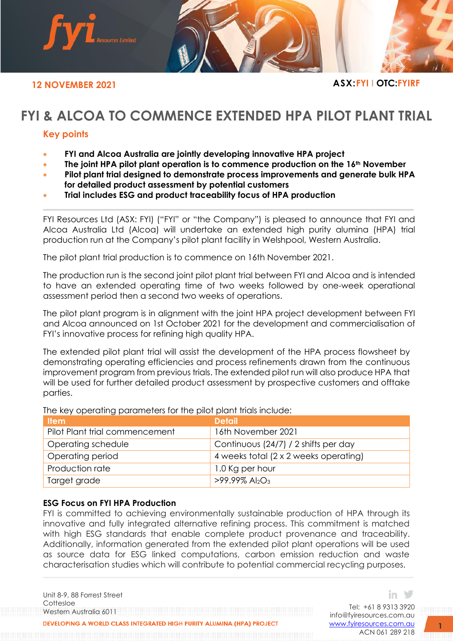

# **FYI & ALCOA TO COMMENCE EXTENDED HPA PILOT PLANT TRIAL**

## **Key points**

- **FYI and Alcoa Australia are jointly developing innovative HPA project**
- **The joint HPA pilot plant operation is to commence production on the 16th November**
- **Pilot plant trial designed to demonstrate process improvements and generate bulk HPA for detailed product assessment by potential customers**
- **Trial includes ESG and product traceability focus of HPA production**

FYI Resources Ltd (ASX: FYI) ("FYI" or "the Company") is pleased to announce that FYI and Alcoa Australia Ltd (Alcoa) will undertake an extended high purity alumina (HPA) trial production run at the Company's pilot plant facility in Welshpool, Western Australia.

The pilot plant trial production is to commence on 16th November 2021.

The production run is the second joint pilot plant trial between FYI and Alcoa and is intended to have an extended operating time of two weeks followed by one-week operational assessment period then a second two weeks of operations.

The pilot plant program is in alignment with the joint HPA project development between FYI and Alcoa announced on 1st October 2021 for the development and commercialisation of FYI's innovative process for refining high quality HPA.

The extended pilot plant trial will assist the development of the HPA process flowsheet by demonstrating operating efficiencies and process refinements drawn from the continuous improvement program from previous trials. The extended pilot run will also produce HPA that will be used for further detailed product assessment by prospective customers and offtake parties.

| <b>Item</b>                    | <b>Detail</b>                             |
|--------------------------------|-------------------------------------------|
| Pilot Plant trial commencement | 16th November 2021                        |
| Operating schedule             | Continuous (24/7) / 2 shifts per day      |
| Operating period               | 4 weeks total (2 x 2 weeks operating)     |
| Production rate                | 1.0 Kg per hour                           |
| Target grade                   | $>99.99\%$ Al <sub>2</sub> O <sub>3</sub> |

The key operating parameters for the pilot plant trials include:

### **ESG Focus on FYI HPA Production**

FYI is committed to achieving environmentally sustainable production of HPA through its innovative and fully integrated alternative refining process. This commitment is matched with high ESG standards that enable complete product provenance and traceability. Additionally, information generated from the extended pilot plant operations will be used as source data for ESG linked computations, carbon emission reduction and waste characterisation studies which will contribute to potential commercial recycling purposes.

Unit 8-9, 88 Forrest Street Cottesloe Western Australia 6011

DEVELOPING A WORLD CLASS INTEGRATED HIGH PURITY ALUMINA (HPA) PROJECT

Tel: +61 8 9313 3920 [info@fyiresources.com.au](mailto:info@fyiresources.com.au) [www.fyiresources.com.au](mailto:https://www.fyiresources.com.au/) ACN 061 289 218

in ≫